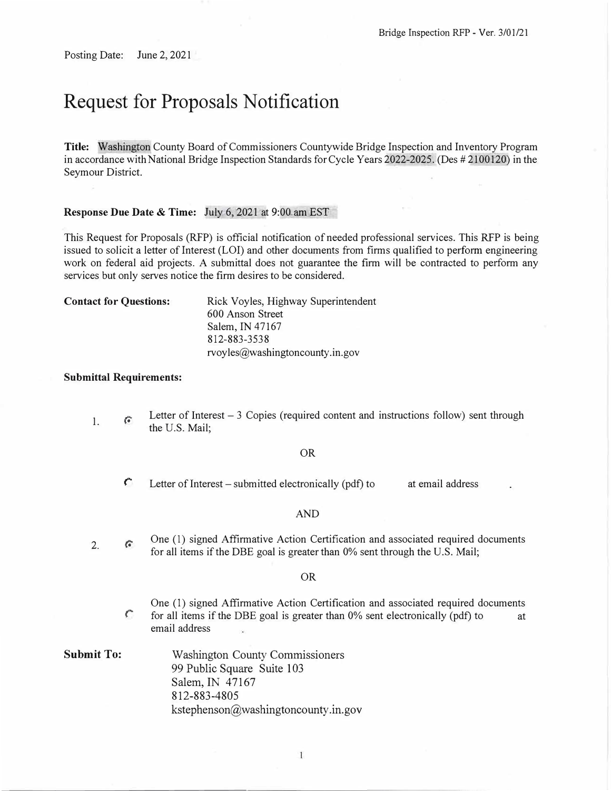Posting Date: June 2, 2021

# **Request for Proposals Notification**

**Title:** Washington County Board of Commissioners Countywide Bridge Inspection and Inventory Program in accordance with National Bridge Inspection Standards for Cycle Years 2022-2025. (Des # 2100120) in the Seymour District.

### **Response Due Date** & **Time:** July 6, 2021 at 9:00 am EST

This Request for Proposals (RFP) is official notification of needed professional services. This RFP is being issued to solicit a letter of Interest (LOI) and other documents from firms qualified to perform engineering work on federal aid projects. A submittal does not guarantee the firm will be contracted to perform any services but only serves notice the firm desires to be considered.

| <b>Contact for Questions:</b> | Rick Voyles, Highway Superintendent |  |  |
|-------------------------------|-------------------------------------|--|--|
|                               | 600 Anson Street                    |  |  |
|                               | Salem, IN 47167                     |  |  |
|                               | 812-883-3538                        |  |  |
|                               | rvoyles@washingtoncounty.in.gov     |  |  |

#### **Submittal Requirements:**

I. *(\** Letter of Interest – 3 Copies (required content and instructions follow) sent through the U.S. Mail;

#### OR

 $\mathcal{C}$  Letter of Interest – submitted electronically (pdf) to at email address

#### AND

2.  $\hat{G}$ One (1) signed Affirmative Action Certification and associated required documents for all items if the DBE goal is greater than 0% sent through the U.S. Mail;

#### OR

- One (I) signed Affirmative Action Certification and associated required documents  $\int$  for all items if the DBE goal is greater than 0% sent electronically (pdf) to at email address
- **Submit To:** Washington County Commissioners 99 Public Square Suite 103 Salem, IN 47167 812-883-4805 kstephenson@washingtoncounty.in.gov

 $\mathbf{1}$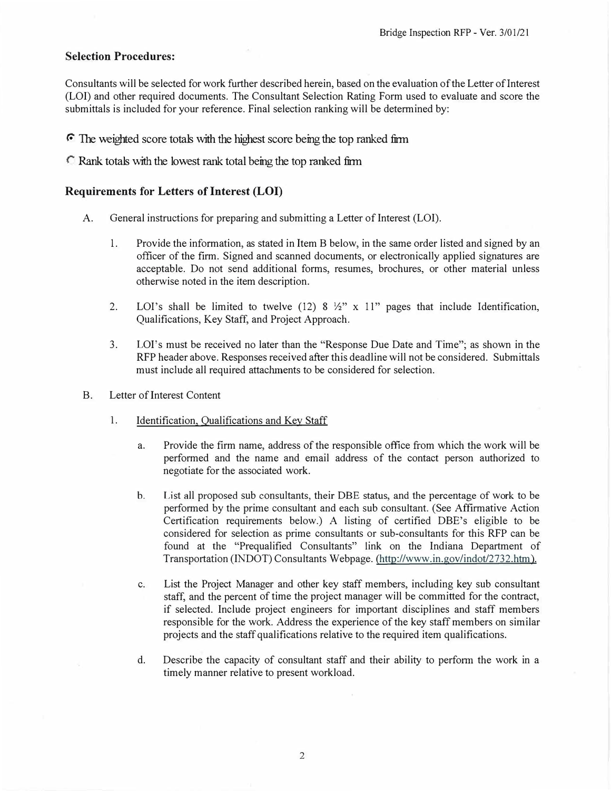## **Selection Procedures:**

Consultants will be selected for work further described herein, based on the evaluation of the Letter of Interest (LOI) and other required documents. The Consultant Selection Rating Form used to evaluate and score the submittals is included for your reference. Final selection ranking will be determined by:

*r* The weighted score totals with the highest score being the top ranked firm

*r* Rank tota1s with the lowest rank total being the top ranked firm

## **Requirements for Letters of Interest (LOI)**

- A. General instructions for preparing and submitting a Letter of Interest (LOI).
	- 1. Provide the information, as stated in Item B below, in the same order listed and signed by an officer of the firm. Signed and scanned documents, or electronically applied signatures are acceptable. Do not send additional forms, resumes, brochures, or other material unless otherwise noted in the item description.
	- 2. LOI's shall be limited to twelve (12) 8  $\frac{1}{2}$ " x 11" pages that include Identification, Qualifications, Key Staff, and Project Approach.
	- 3. LOI's must be received no later than the "Response Due Date and Time"; as shown in the RFP header above. Responses received after this deadline will not be considered. Submittals must include all required attachments to be considered for selection.
- B. Letter of Interest Content
	- 1. Identification, Qualifications and Key Staff
		- a. Provide the firm name, address of the responsible office from which the work will be performed and the name and email address of the contact person authorized to negotiate for the associated work.
		- b. List all proposed sub consultants, their DBE status, and the percentage of work to be performed by the prime consultant and each sub consultant. (See Affirmative Action Certification requirements below.) A listing of certified DBE's eligible to be considered for selection as prime consultants or sub-consultants for this RFP can be found at the "Prequalified Consultants" link on the Indiana Department of Transportation (INDOT) Consultants Webpage. (http://www.in.gov/indot/2732.htm).
		- c. List the Project Manager and other key staff members, including key sub consultant staff, and the percent of time the project manager will be committed for the contract, if selected. Include project engineers for important disciplines and staff members responsible for the work. Address the experience of the key staff members on similar projects and the staff qualifications relative to the required item qualifications.
		- d. Describe the capacity of consultant staff and their ability to perform the work in a timely manner relative to present workload.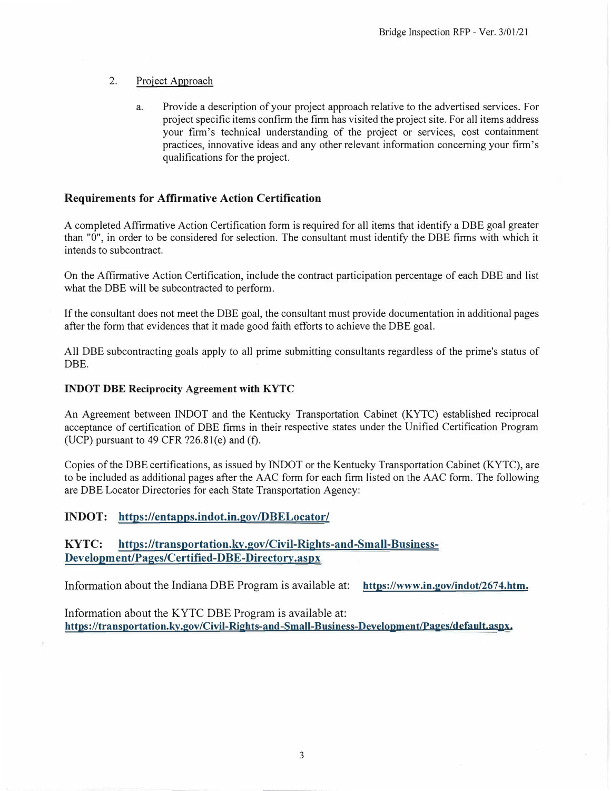#### 2.Project Approach

a. Provide a description of your project approach relative to the advertised services. For project specific items confirm the firm has visited the project site. For all items address your firm's technical understanding of the project or services, cost containment practices, innovative ideas and any other relevant information concerning your firm's qualifications for the project.

# **Requirements for Affirmative Action Certification**

A completed Affirmative Action Certification form is required for all items that identify a DBE goal greater than "O", in order to be considered for selection. The consultant must identify the DBE firms with which it intends to subcontract.

On the Affirmative Action Certification, include the contract participation percentage of each DBE and list what the DBE will be subcontracted to perform.

If the consultant does not meet the DBE goal, the consultant must provide documentation in additional pages after the form that evidences that it made good faith efforts to achieve the DBE goal.

All DBE subcontracting goals apply to all prime submitting consultants regardless of the prime's status of DBE.

#### **INDOT DBE Reciprocity Agreement with KYTC**

An Agreement between INDOT and the Kentucky Transportation Cabinet (KYTC) established reciprocal acceptance of certification of DBE firms in their respective states under the Unified Certification Program (UCP) pursuant to  $49$  CFR  $?26.81(e)$  and  $(f)$ .

Copies of the DBE certifications, as issued by INDOT or the Kentucky Transportation Cabinet (KYTC), are to be included as additional pages after the AAC form for each firm listed on the AAC form. The following are DBE Locator Directories for each State Transportation Agency:

# **INDOT: https://entapps.indot.in.gov/DBELocator/**

# **KYTC: https://transportation.ky.gov/Civil-Rights-and-Small-Business-Development/Pages/Certified-DBE-Directory.aspx**

Information about the Indiana DBE Program is available at: **https://www.in.gov/indot/2674.htm.** 

Information about the KYTC DBE Program is available at: **https://transportation.ky.gov/Civil-Rights-and-Small-Business-Development/Pages/default.aspx.**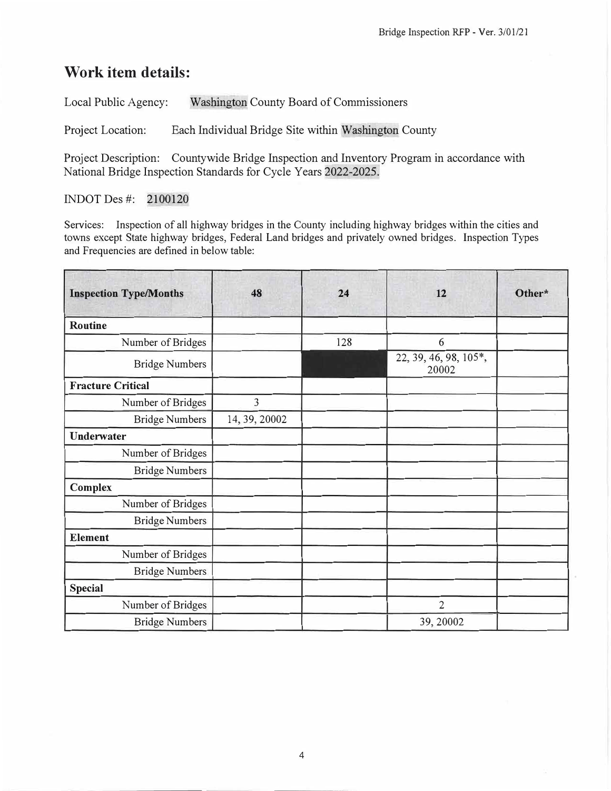# **Work item details:**

Local Public Agency: Washington County Board of Commissioners

Project Location: Each Individual Bridge Site within Washington County

Project Description: Countywide Bridge Inspection and Inventory Program in accordance with National Bridge Inspection Standards for Cycle Years 2022-2025.

# INDOT Des#: 2100120

Services: Inspection of all highway bridges in the County including highway bridges within the cities and towns except State highway bridges, Federal Land bridges and privately owned bridges. Inspection Types and Frequencies are defined in below table:

| <b>Inspection Type/Months</b> | 48            | 24  | 12                             | Other* |
|-------------------------------|---------------|-----|--------------------------------|--------|
| <b>Routine</b>                |               |     |                                |        |
| Number of Bridges             |               | 128 | 6                              |        |
| <b>Bridge Numbers</b>         |               |     | 22, 39, 46, 98, 105*,<br>20002 |        |
| <b>Fracture Critical</b>      |               |     |                                |        |
| Number of Bridges             | 3             |     |                                |        |
| <b>Bridge Numbers</b>         | 14, 39, 20002 |     |                                |        |
| <b>Underwater</b>             |               |     |                                |        |
| Number of Bridges             |               |     |                                |        |
| <b>Bridge Numbers</b>         |               |     |                                |        |
| <b>Complex</b>                |               |     |                                |        |
| Number of Bridges             |               |     |                                |        |
| <b>Bridge Numbers</b>         |               |     |                                |        |
| <b>Element</b>                |               |     |                                |        |
| Number of Bridges             |               |     |                                |        |
| <b>Bridge Numbers</b>         |               |     |                                |        |
| <b>Special</b>                |               |     |                                |        |
| Number of Bridges             |               |     | $\overline{2}$                 |        |
| <b>Bridge Numbers</b>         |               |     | 39, 20002                      |        |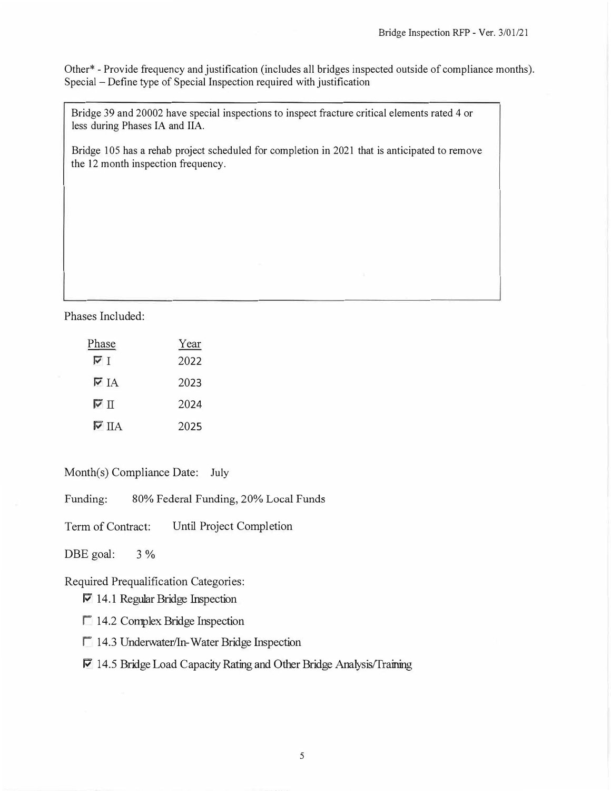Other\* - Provide frequency and justification (includes all bridges inspected outside of compliance months). Special - Define type of Special Inspection required with justification

Bridge 39 and 20002 have special inspections to inspect fracture critical elements rated 4 or less during Phases IA and IIA.

Bridge 105 has a rehab project scheduled for completion in 2021 that is anticipated to remove the 12 month inspection frequency.

Phases Included:

| Phase                              | Year |
|------------------------------------|------|
| ⊽⊺                                 | 2022 |
| $\triangledown$ IA                 | 2023 |
| न्य प                              | 2024 |
| $\overline{\triangledown}$ $\Pi$ A | 2025 |

Month(s) Compliance Date: July

Funding: 80% Federal Funding, 20% Local Funds

Term of Contract: Until Project Completion

DBE goal: 3 %

Required Prequalification Categories:

 $\nabla$  14.1 Regular Bridge Inspection

 $\Box$  14.2 Complex Bridge Inspection

<sup>1</sup> 14.3 Underwater/In-Water Bridge Inspection

# $\nabla$  14.5 Bridge Load Capacity Rating and Other Bridge Analysis/Training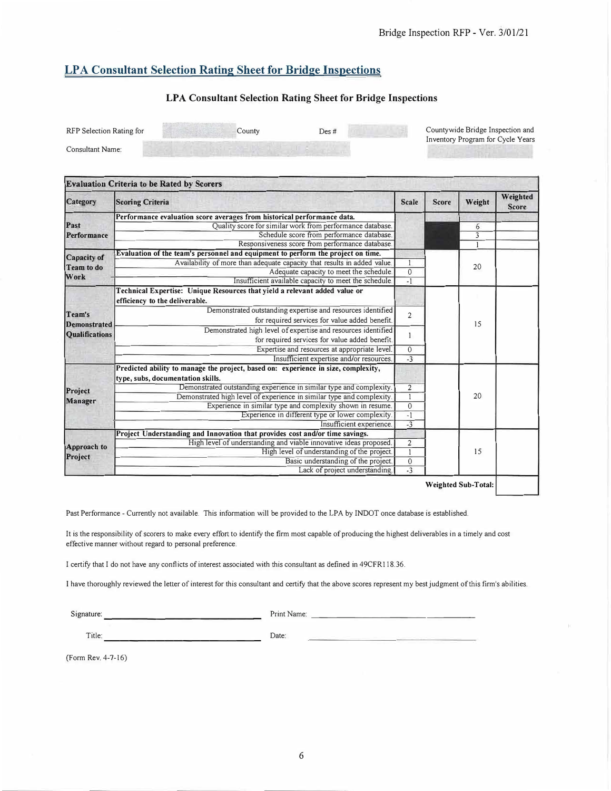# **LP A Consultant Selection Rating Sheet for Bridge Inspections**

#### **LPA Consultant Selection Rating Sheet for Bridge Inspections**

| RFP Selection Rating for | $\mathcal{L}$ ounty | Des # | Countywide Bridge Inspection and<br>Inventory Program for Cycle Years |
|--------------------------|---------------------|-------|-----------------------------------------------------------------------|
| <b>Consultant Name:</b>  |                     |       |                                                                       |

| Category                                               | <b>Scoring Criteria</b>                                                                                                 | Scale                          | <b>Score</b> | Weight | Weighted<br><b>Score</b> |
|--------------------------------------------------------|-------------------------------------------------------------------------------------------------------------------------|--------------------------------|--------------|--------|--------------------------|
|                                                        | Performance evaluation score averages from historical performance data.                                                 |                                |              |        |                          |
| Past                                                   | Quality score for similar work from performance database                                                                |                                |              | 6      |                          |
| Performance                                            | Schedule score from performance database.                                                                               |                                |              | 3      |                          |
|                                                        | Responsiveness score from performance database.                                                                         |                                |              |        |                          |
| Capacity of                                            | Evaluation of the team's personnel and equipment to perform the project on time.                                        |                                |              |        |                          |
| Team to do                                             | Availability of more than adequate capacity that results in added value.                                                | $\mathbf{1}$                   |              | 20     |                          |
|                                                        | Adequate capacity to meet the schedule.                                                                                 |                                |              |        |                          |
| Work                                                   | Insufficient available capacity to meet the schedule.                                                                   | $-1$                           |              |        |                          |
|                                                        | Technical Expertise: Unique Resources that yield a relevant added value or<br>efficiency to the deliverable.            |                                |              |        |                          |
| Team's<br><b>Demonstrated</b><br><b>Qualifications</b> | Demonstrated outstanding expertise and resources identified<br>for required services for value added benefit.           | $\overline{2}$                 |              |        |                          |
|                                                        | Demonstrated high level of expertise and resources identified<br>for required services for value added benefit.         | $\mathbf{1}$                   |              | 15     |                          |
|                                                        | Expertise and resources at appropriate level.                                                                           |                                |              |        |                          |
|                                                        | Insufficient expertise and/or resources.                                                                                | $\mathbf{0}$<br>$\overline{3}$ |              |        |                          |
|                                                        | Predicted ability to manage the project, based on: experience in size, complexity,<br>type, subs, documentation skills. |                                |              |        |                          |
| Project                                                | Demonstrated outstanding experience in similar type and complexity.                                                     |                                |              |        |                          |
| Manager                                                | Demonstrated high level of experience in similar type and complexity.                                                   | $\overline{1}$                 |              | 20     |                          |
|                                                        | Experience in similar type and complexity shown in resume.                                                              | $\overline{0}$                 |              |        |                          |
|                                                        | Experience in different type or lower complexity.                                                                       | $-1$                           |              |        |                          |
|                                                        | Insufficient experience.                                                                                                | $-3$                           |              |        |                          |
|                                                        | Project Understanding and Innovation that provides cost and/or time savings.                                            |                                |              |        |                          |
| Approach to                                            | High level of understanding and viable innovative ideas proposed.                                                       | $\overline{2}$                 |              |        |                          |
|                                                        | High level of understanding of the project.                                                                             | $\overline{1}$                 |              | 15     |                          |
| Project                                                | Basic understanding of the project.                                                                                     | $\mathbf{0}$                   |              |        |                          |
|                                                        | Lack of project understanding.                                                                                          | $\overline{.}$                 |              |        |                          |

Past Performance - Currently not available. This information will be provided to the LPA by INDOT once database is established.

It is the responsibility of scorers to make every effort to identify the firm most capable of producing the highest deliverables in a timely and cost effective manner without regard to personal preference.

I certify that I do not have any conflicts of interest associated with this consultant as defined in 49CFRI 18.36.

I have thoroughly reviewed the letter of interest for this consultant and certify that the above scores represent my best judgment of this firm's abilities.

Signature: \_\_\_\_\_\_\_\_\_\_\_\_\_\_\_\_\_ \_ Print Name: \_\_\_\_\_\_\_\_\_\_\_\_\_ \_\_\_\_ \_

Title: Date:

(Form Rev. 4-7-16)